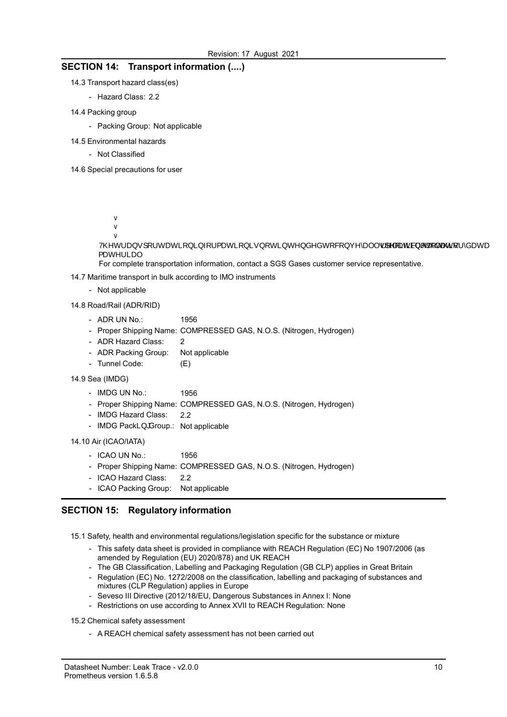## SECTION 14: Transport information (....)

- 14.3 Transport hazard class(es)
	- Hazard Class: 2.2
- 14.4 Packing group
	- Packing Group: Not applicable
- 14.5 Environmental hazards
	- Not Classified

14.6 Special precautions for user

- 9 b g ij fYY\']XW\'] YJ WH U qf  $\chi \$  \do c h Y b b h U of  $\chi$  g h  $\alpha$  w $\chi$   $\alpha$  c k g U hX ch h|\'MYj' Y b h '
- c 20 HUW W KW DoMha Yf [YbWm
- !5 jc h}fXUb gc objcYf \h]MN Y bğ Y`Yc kg XolUMAy c h ˈg Y d U f UhXYf XjWoffanfabgU fh h aYY b h "
- ! 6 Y Z dhff YUbg ddcffchXMMoWphh UY bby jifhp(SYN]fby XY e ij UYhbYh ]UbUXh.] c b % $h \setminus \mathbf{V}$  mfz $\mathbf{Y}$ ] f ga Y Whi U DY  $\mathbf{X}$  " $h \setminus Y$  j Worn dig Wb  $\mathbf{X}$  WD  $\mathbf{X}$  is  $h$ Y U  $_1$  b [ / %  $h \rightarrow y$ YU `qiYh`Yh WU dff kb\i Yuff Yej $\widetilde{f}$ ] Akwc $\widetilde{M}$  of  $\widetilde{I}$  Wh h  $\widetilde{M}$  X
- % $h \rightarrow j$ YU `g] fYch YXWhj] Jurwa Yeff Y: j]  $j$ XyWcXF if 'X' JWh h MiX' ! H∖Y `hf Ubgdcf hUh]cb `]bZcf a Uh]cb `]g `bch¦^|≵ciþ\*h[YcOb\*XYX `hc `Wcb] { æc^¦ãæ|È
- For complete transportation information, contact a SGS Gases customer service representative.
- 14.7 Maritime transport in bulk according to IMO instruments
	- Not applicable

14.8 Road/Rail (ADR/RID)

- ADR UN No.: 1956
- Proper Shipping Name: COMPRESSED GAS, N.O.S. (Nitrogen, Hydrogen)
- ADR Hazard Class: 2
- ADR Packing Group: Not applicable
- Tunnel Code: (E)
- 14.9 Sea (IMDG)
	- 1956 - IMDG UN No.:
	- Proper Shipping Name: COMPRESSED GAS, N.O.S. (Nitrogen, Hydrogen)
	- 2.2 - IMDG Hazard Class:
	- IMDG Packing Group.: Not applicable

### 14.10 Air (ICAO/IATA)

- ICAO UN No.: 1956
- Proper Shipping Name: COMPRESSED GAS, N.O.S. (Nitrogen, Hydrogen)
- ICAO Hazard Class: 2.2
- ICAO Packing Group: Not applicable

## SECTION 15: Regulatory information

15.1 Safety, health and environmental regulations/legislation specific for the substance or mixture

- This safety data sheet is provided in compliance with REACH Regulation (EC) No 1907/2006 (as amended by Regulation (EU) 2020/878) and UK REACH
- The GB Classification, Labelling and Packaging Regulation (GB CLP) applies in Great Britain
- Regulation (EC) No. 1272/2008 on the classification, labelling and packaging of substances and mixtures (CLP Regulation) applies in Europe
- Seveso III Directive (2012/18/EU, Dangerous Substances in Annex I: None
- Restrictions on use according to Annex XVII to REACH Regulation: None

#### 15.2 Chemical safety assessment

- A REACH chemical safety assessment has not been carried out